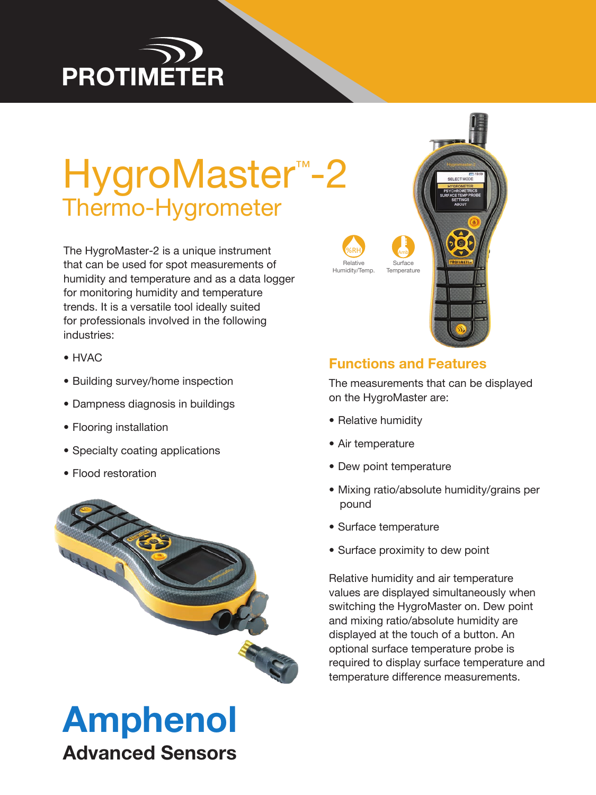# **PROTIMÉTER**

# HygroMaster<sup>™</sup>-2 Thermo-Hygrometer

The HygroMaster-2 is a unique instrument that can be used for spot measurements of humidity and temperature and as a data logger for monitoring humidity and temperature trends. It is a versatile tool ideally suited for professionals involved in the following industries:

- HVAC
- Building survey/home inspection
- Dampness diagnosis in buildings
- Flooring installation
- Specialty coating applications
- Flood restoration



# Amphenol

Advanced Sensors



# **Functions and Features**

The measurements that can be displayed on the HygroMaster are:

- Relative humidity
- Air temperature
- Dew point temperature
- Mixing ratio/absolute humidity/grains per pound
- Surface temperature
- Surface proximity to dew point

Relative humidity and air temperature values are displayed simultaneously when switching the HygroMaster on. Dew point and mixing ratio/absolute humidity are displayed at the touch of a button. An optional surface temperature probe is required to display surface temperature and temperature difference measurements.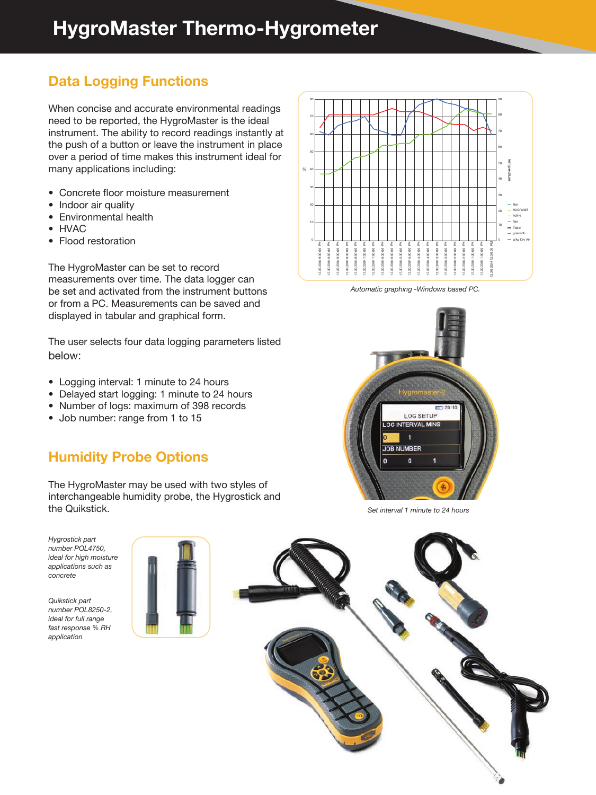# **HygroMaster Thermo-Hygrometer**

# **Data Logging Functions**

When concise and accurate environmental readings need to be reported, the HygroMaster is the ideal instrument. The ability to record readings instantly at the push of a button or leave the instrument in place over a period of time makes this instrument ideal for many applications including:

- Concrete floor moisture measurement
- Indoor air quality
- Environmental health
- HVAC
- Flood restoration

The HygroMaster can be set to record measurements over time. The data logger can be set and activated from the instrument buttons or from a PC. Measurements can be saved and displayed in tabular and graphical form.

The user selects four data logging parameters listed below:

- Logging interval: 1 minute to 24 hours
- Delayed start logging: 1 minute to 24 hours
- Number of logs: maximum of 398 records
- Job number: range from 1 to 15

### **Humidity Probe Options**

The HygroMaster may be used with two styles of interchangeable humidity probe, the Hygrostick and the Quikstick.

*Hygrostick part number POL4750, ideal for high moisture applications such as concrete*

*Quikstick part number POL8250-2, ideal for full range fast response % RH application*





*Automatic graphing -Windows based PC.*



*Set interval 1 minute to 24 hours*

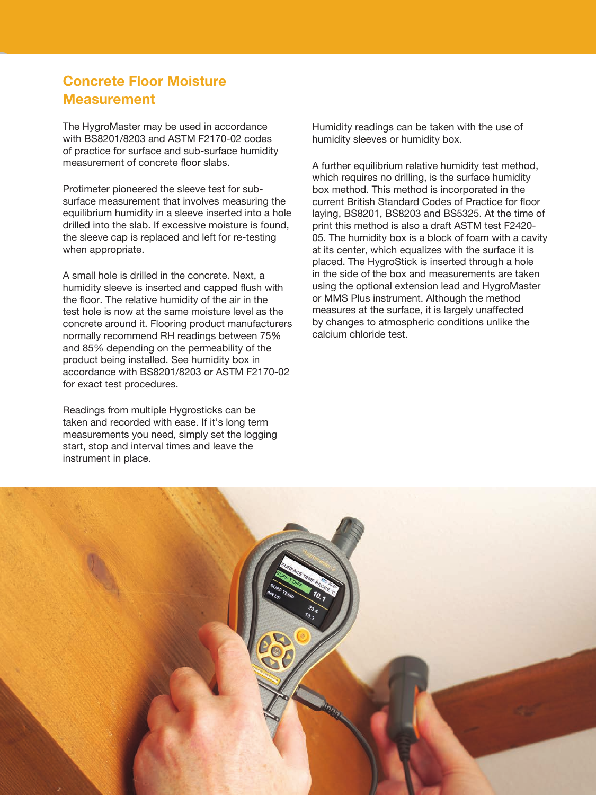### **Concrete Floor Moisture Measurement**

The HygroMaster may be used in accordance with BS8201/8203 and ASTM F2170-02 codes of practice for surface and sub-surface humidity measurement of concrete floor slabs.

Protimeter pioneered the sleeve test for subsurface measurement that involves measuring the equilibrium humidity in a sleeve inserted into a hole drilled into the slab. If excessive moisture is found, the sleeve cap is replaced and left for re-testing when appropriate.

A small hole is drilled in the concrete. Next, a humidity sleeve is inserted and capped flush with the floor. The relative humidity of the air in the test hole is now at the same moisture level as the concrete around it. Flooring product manufacturers normally recommend RH readings between 75% and 85% depending on the permeability of the product being installed. See humidity box in accordance with BS8201/8203 or ASTM F2170-02 for exact test procedures.

Readings from multiple Hygrosticks can be taken and recorded with ease. If it's long term measurements you need, simply set the logging start, stop and interval times and leave the instrument in place.

Humidity readings can be taken with the use of humidity sleeves or humidity box.

A further equilibrium relative humidity test method, which requires no drilling, is the surface humidity box method. This method is incorporated in the current British Standard Codes of Practice for floor laying, BS8201, BS8203 and BS5325. At the time of print this method is also a draft ASTM test F2420- 05. The humidity box is a block of foam with a cavity at its center, which equalizes with the surface it is placed. The HygroStick is inserted through a hole in the side of the box and measurements are taken using the optional extension lead and HygroMaster or MMS Plus instrument. Although the method measures at the surface, it is largely unaffected by changes to atmospheric conditions unlike the calcium chloride test.